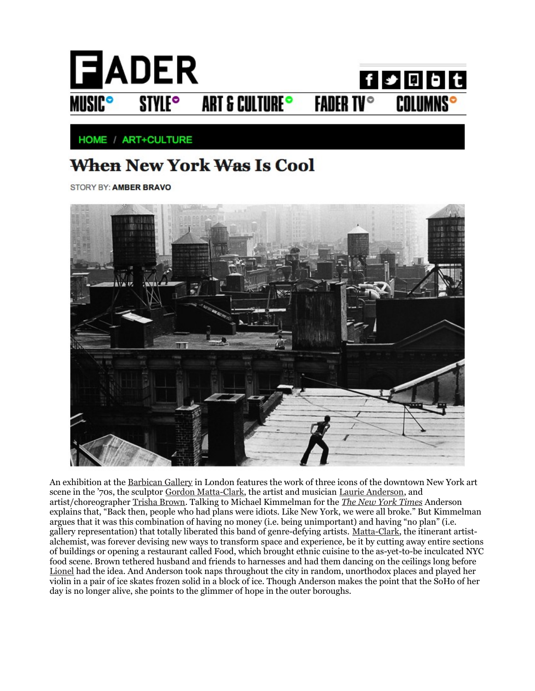

HOME / ART+CULTURE

## When New York Was Is Cool

STORY BY: AMBER BRAVO



An exhibition at the [Barbican Gallery](http://www.barbican.org.uk/artgallery/event-detail.asp?ID=12060) in London features the work of three icons of the downtown New York art scene in the '70s, the sculptor [Gordon Matta-Clark,](http://www.davidzwirner.com/artists/4/) the artist and musician [Laurie Anderson,](http://www.laurieanderson.com/home.shtml) and artist/choreographer [Trisha Brown.](http://www.trishabrowncompany.org/) Talking to Michael Kimmelman for the *[The New York Times](http://www.nytimes.com/2011/05/01/arts/design/laurie-anderson-trisha-brown-gordon-matta-clark-stars-of-70s-soho.html?ref=design)* Anderson explains that, "Back then, people who had plans were idiots. Like New York, we were all broke." But Kimmelman argues that it was this combination of having no money (i.e. being unimportant) and having "no plan" (i.e. gallery representation) that totally liberated this band of genre-defying artists. [Matta-Clark,](http://amberbravo.com/index/article-pdfs/cuttingedge.pdf) the itinerant artistalchemist, was forever devising new ways to transform space and experience, be it by cutting away entire sections of buildings or opening a restaurant called Food, which brought ethnic cuisine to the as-yet-to-be inculcated NYC food scene. Brown tethered husband and friends to harnesses and had them dancing on the ceilings long before [Lionel](http://youtu.be/5XxshEdcfAM) had the idea. And Anderson took naps throughout the city in random, unorthodox places and played her violin in a pair of ice skates frozen solid in a block of ice. Though Anderson makes the point that the SoHo of her day is no longer alive, she points to the glimmer of hope in the outer boroughs.